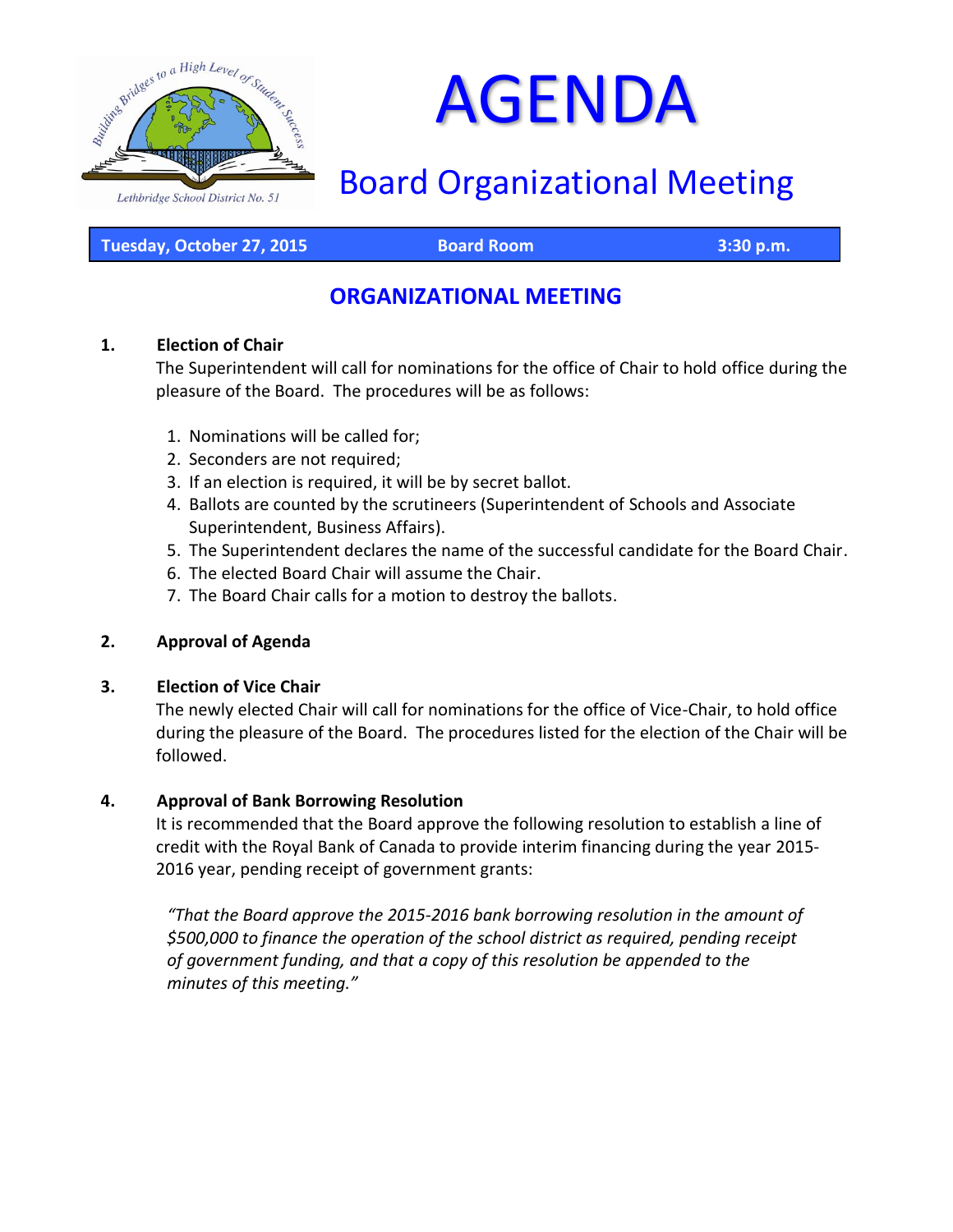

# AGENDA

# Board Organizational Meeting

**Tuesday, October 27, 2015 Board Room 3:30 p.m.**

# **ORGANIZATIONAL MEETING**

#### **1. Election of Chair**

The Superintendent will call for nominations for the office of Chair to hold office during the pleasure of the Board. The procedures will be as follows:

- 1. Nominations will be called for;
- 2. Seconders are not required;
- 3. If an election is required, it will be by secret ballot.
- 4. Ballots are counted by the scrutineers (Superintendent of Schools and Associate Superintendent, Business Affairs).
- 5. The Superintendent declares the name of the successful candidate for the Board Chair.
- 6. The elected Board Chair will assume the Chair.
- 7. The Board Chair calls for a motion to destroy the ballots.

#### **2. Approval of Agenda**

#### **3. Election of Vice Chair**

The newly elected Chair will call for nominations for the office of Vice-Chair, to hold office during the pleasure of the Board. The procedures listed for the election of the Chair will be followed.

#### **4. Approval of Bank Borrowing Resolution**

It is recommended that the Board approve the following resolution to establish a line of credit with the Royal Bank of Canada to provide interim financing during the year 2015- 2016 year, pending receipt of government grants:

*"That the Board approve the 2015-2016 bank borrowing resolution in the amount of \$500,000 to finance the operation of the school district as required, pending receipt of government funding, and that a copy of this resolution be appended to the minutes of this meeting."*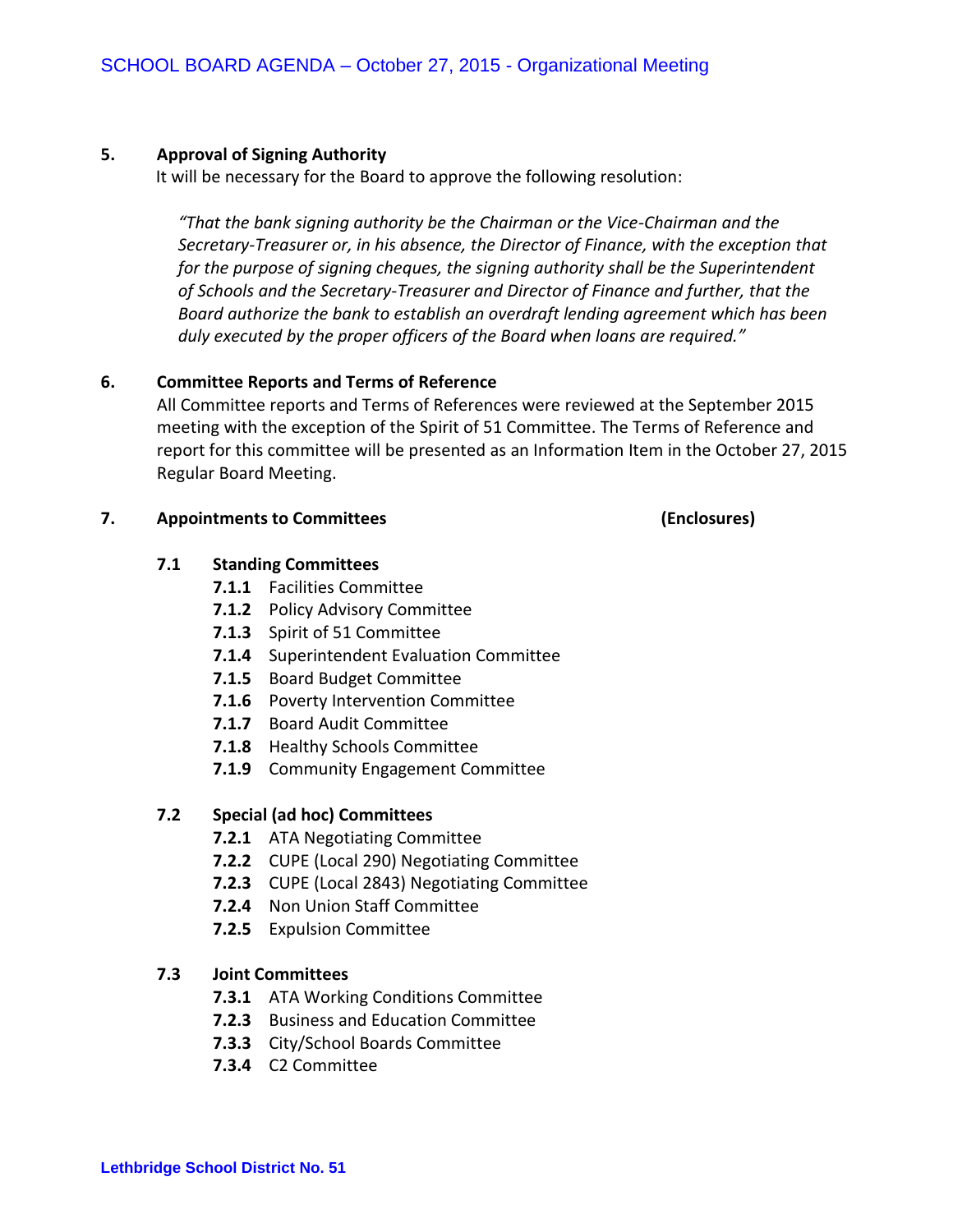#### **5. Approval of Signing Authority**

It will be necessary for the Board to approve the following resolution:

*"That the bank signing authority be the Chairman or the Vice-Chairman and the Secretary-Treasurer or, in his absence, the Director of Finance, with the exception that for the purpose of signing cheques, the signing authority shall be the Superintendent of Schools and the Secretary-Treasurer and Director of Finance and further, that the Board authorize the bank to establish an overdraft lending agreement which has been duly executed by the proper officers of the Board when loans are required."*

#### **6. Committee Reports and Terms of Reference**

All Committee reports and Terms of References were reviewed at the September 2015 meeting with the exception of the Spirit of 51 Committee. The Terms of Reference and report for this committee will be presented as an Information Item in the October 27, 2015 Regular Board Meeting.

#### **7. Appointments to Committees (Enclosures)**

#### **7.1 Standing Committees**

- **7.1.1** Facilities Committee
- **7.1.2** Policy Advisory Committee
- **7.1.3** Spirit of 51 Committee
- **7.1.4** Superintendent Evaluation Committee
- **7.1.5** Board Budget Committee
- **7.1.6** Poverty Intervention Committee
- **7.1.7** Board Audit Committee
- **7.1.8** Healthy Schools Committee
- **7.1.9** Community Engagement Committee

#### **7.2 Special (ad hoc) Committees**

- **7.2.1** ATA Negotiating Committee
- **7.2.2** CUPE (Local 290) Negotiating Committee
- **7.2.3** CUPE (Local 2843) Negotiating Committee
- **7.2.4** Non Union Staff Committee
- **7.2.5** Expulsion Committee

#### **7.3 Joint Committees**

- **7.3.1** ATA Working Conditions Committee
- **7.2.3** Business and Education Committee
- **7.3.3** City/School Boards Committee
- **7.3.4** C2 Committee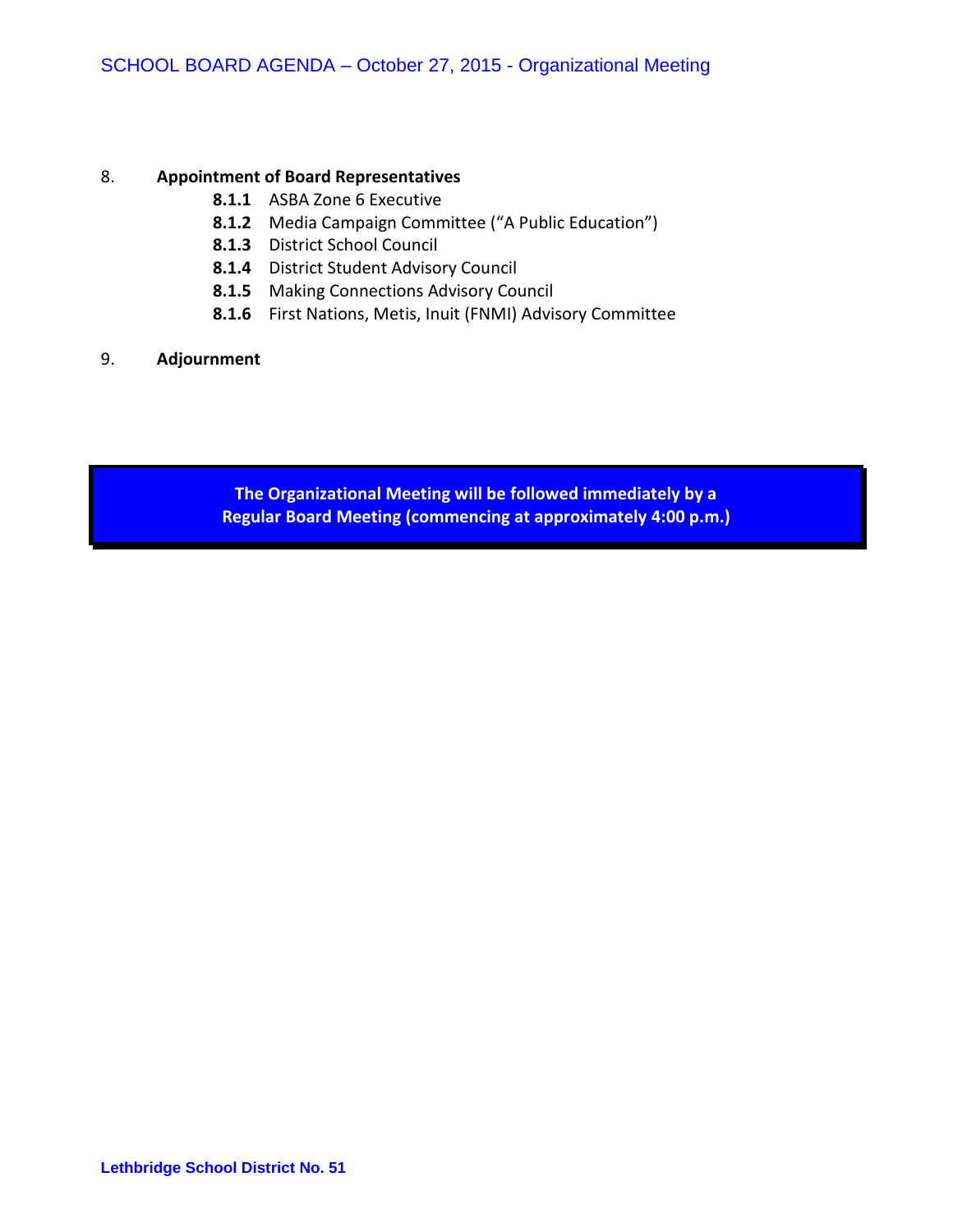#### 8. **Appointment of Board Representatives**

- **8.1.1** ASBA Zone 6 Executive
- **8.1.2** Media Campaign Committee ("A Public Education")
- **8.1.3** District School Council
- **8.1.4** District Student Advisory Council
- **8.1.5** Making Connections Advisory Council
- **8.1.6** First Nations, Metis, Inuit (FNMI) Advisory Committee

#### 9. **Adjournment**

**The Organizational Meeting will be followed immediately by a Regular Board Meeting (commencing at approximately 4:00 p.m.)**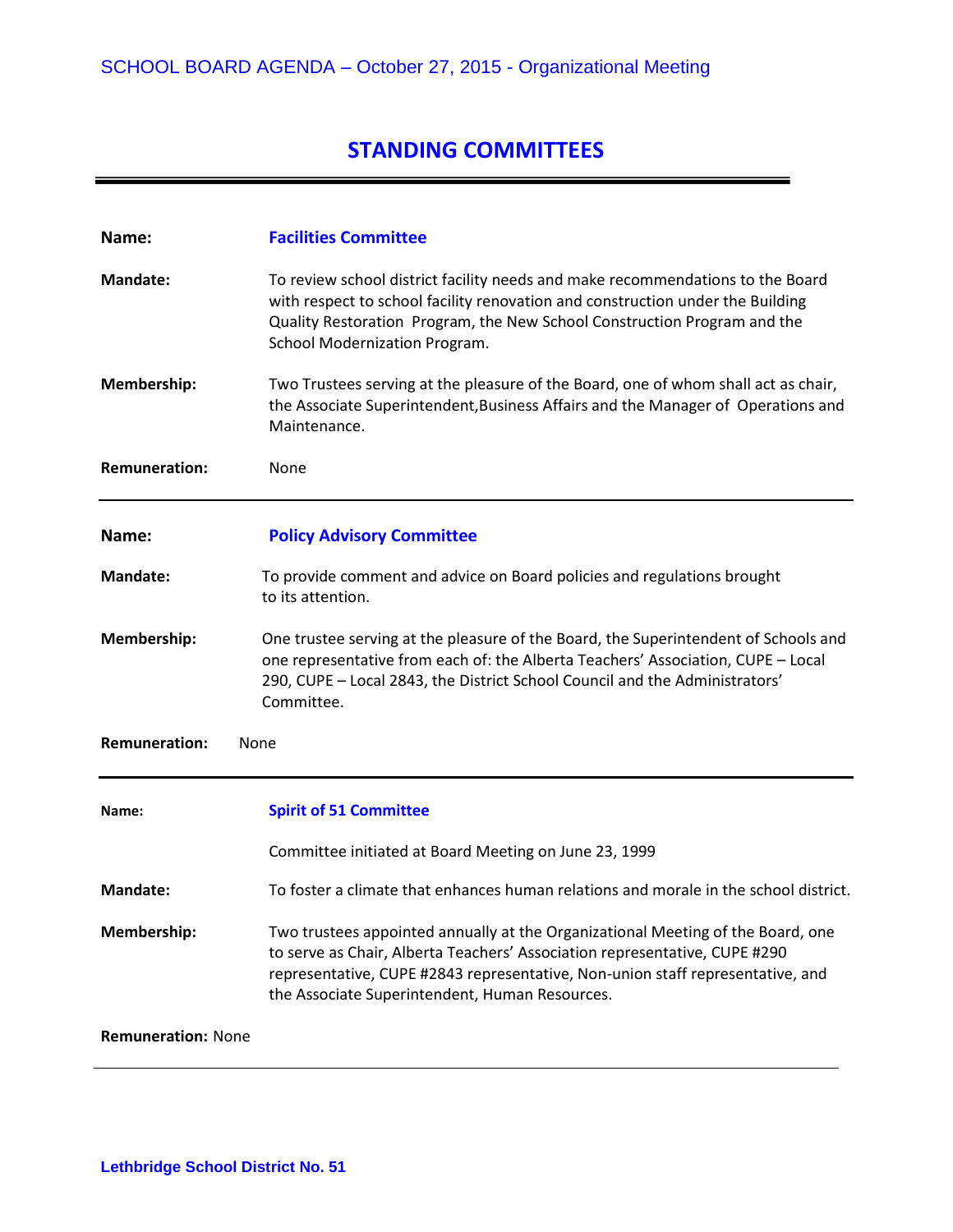# **STANDING COMMITTEES**

| Name:                               | <b>Facilities Committee</b>                                                                                                                                                                                                                                                                       |
|-------------------------------------|---------------------------------------------------------------------------------------------------------------------------------------------------------------------------------------------------------------------------------------------------------------------------------------------------|
| Mandate:                            | To review school district facility needs and make recommendations to the Board<br>with respect to school facility renovation and construction under the Building<br>Quality Restoration Program, the New School Construction Program and the<br>School Modernization Program.                     |
| Membership:                         | Two Trustees serving at the pleasure of the Board, one of whom shall act as chair,<br>the Associate Superintendent, Business Affairs and the Manager of Operations and<br>Maintenance.                                                                                                            |
| <b>Remuneration:</b>                | None                                                                                                                                                                                                                                                                                              |
| Name:                               | <b>Policy Advisory Committee</b>                                                                                                                                                                                                                                                                  |
| <b>Mandate:</b>                     | To provide comment and advice on Board policies and regulations brought<br>to its attention.                                                                                                                                                                                                      |
| Membership:                         | One trustee serving at the pleasure of the Board, the Superintendent of Schools and<br>one representative from each of: the Alberta Teachers' Association, CUPE - Local<br>290, CUPE - Local 2843, the District School Council and the Administrators'<br>Committee.                              |
| <b>Remuneration:</b><br><b>None</b> |                                                                                                                                                                                                                                                                                                   |
| Name:                               | <b>Spirit of 51 Committee</b>                                                                                                                                                                                                                                                                     |
|                                     | Committee initiated at Board Meeting on June 23, 1999                                                                                                                                                                                                                                             |
| <b>Mandate:</b>                     | To foster a climate that enhances human relations and morale in the school district.                                                                                                                                                                                                              |
| <b>Membership:</b>                  | Two trustees appointed annually at the Organizational Meeting of the Board, one<br>to serve as Chair, Alberta Teachers' Association representative, CUPE #290<br>representative, CUPE #2843 representative, Non-union staff representative, and<br>the Associate Superintendent, Human Resources. |
| <b>Remuneration: None</b>           |                                                                                                                                                                                                                                                                                                   |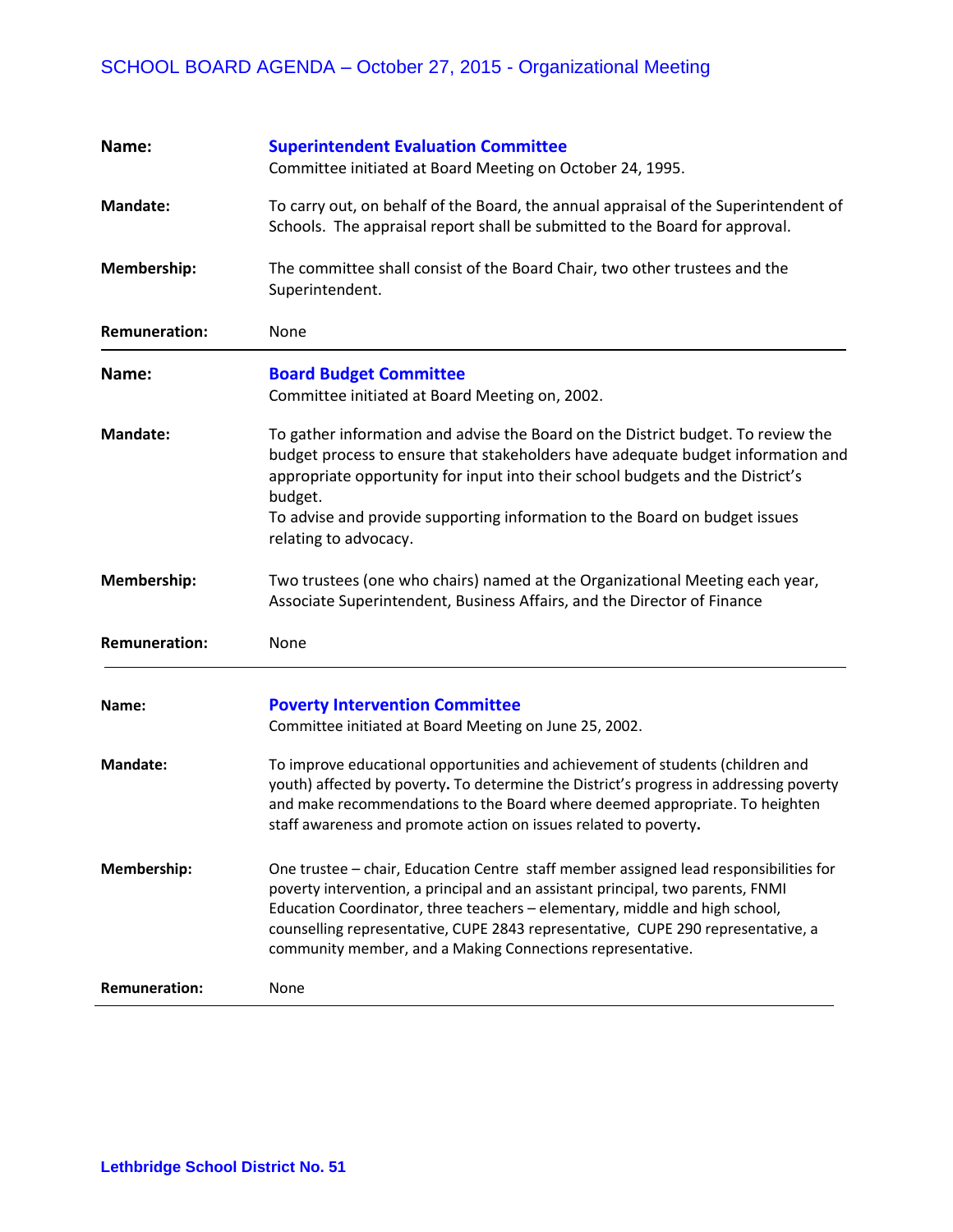# SCHOOL BOARD AGENDA – October 27, 2015 - Organizational Meeting

| Name:                | <b>Superintendent Evaluation Committee</b>                                                                                                                                                                                                                                                                                                                                                                |
|----------------------|-----------------------------------------------------------------------------------------------------------------------------------------------------------------------------------------------------------------------------------------------------------------------------------------------------------------------------------------------------------------------------------------------------------|
|                      | Committee initiated at Board Meeting on October 24, 1995.                                                                                                                                                                                                                                                                                                                                                 |
| <b>Mandate:</b>      | To carry out, on behalf of the Board, the annual appraisal of the Superintendent of<br>Schools. The appraisal report shall be submitted to the Board for approval.                                                                                                                                                                                                                                        |
| Membership:          | The committee shall consist of the Board Chair, two other trustees and the<br>Superintendent.                                                                                                                                                                                                                                                                                                             |
| <b>Remuneration:</b> | None                                                                                                                                                                                                                                                                                                                                                                                                      |
| Name:                | <b>Board Budget Committee</b><br>Committee initiated at Board Meeting on, 2002.                                                                                                                                                                                                                                                                                                                           |
| <b>Mandate:</b>      | To gather information and advise the Board on the District budget. To review the<br>budget process to ensure that stakeholders have adequate budget information and<br>appropriate opportunity for input into their school budgets and the District's<br>budget.<br>To advise and provide supporting information to the Board on budget issues<br>relating to advocacy.                                   |
| Membership:          | Two trustees (one who chairs) named at the Organizational Meeting each year,<br>Associate Superintendent, Business Affairs, and the Director of Finance                                                                                                                                                                                                                                                   |
| <b>Remuneration:</b> | None                                                                                                                                                                                                                                                                                                                                                                                                      |
| Name:                | <b>Poverty Intervention Committee</b><br>Committee initiated at Board Meeting on June 25, 2002.                                                                                                                                                                                                                                                                                                           |
| <b>Mandate:</b>      | To improve educational opportunities and achievement of students (children and<br>youth) affected by poverty. To determine the District's progress in addressing poverty<br>and make recommendations to the Board where deemed appropriate. To heighten<br>staff awareness and promote action on issues related to poverty.                                                                               |
| Membership:          | One trustee - chair, Education Centre staff member assigned lead responsibilities for<br>poverty intervention, a principal and an assistant principal, two parents, FNMI<br>Education Coordinator, three teachers - elementary, middle and high school,<br>counselling representative, CUPE 2843 representative, CUPE 290 representative, a<br>community member, and a Making Connections representative. |
| <b>Remuneration:</b> | None                                                                                                                                                                                                                                                                                                                                                                                                      |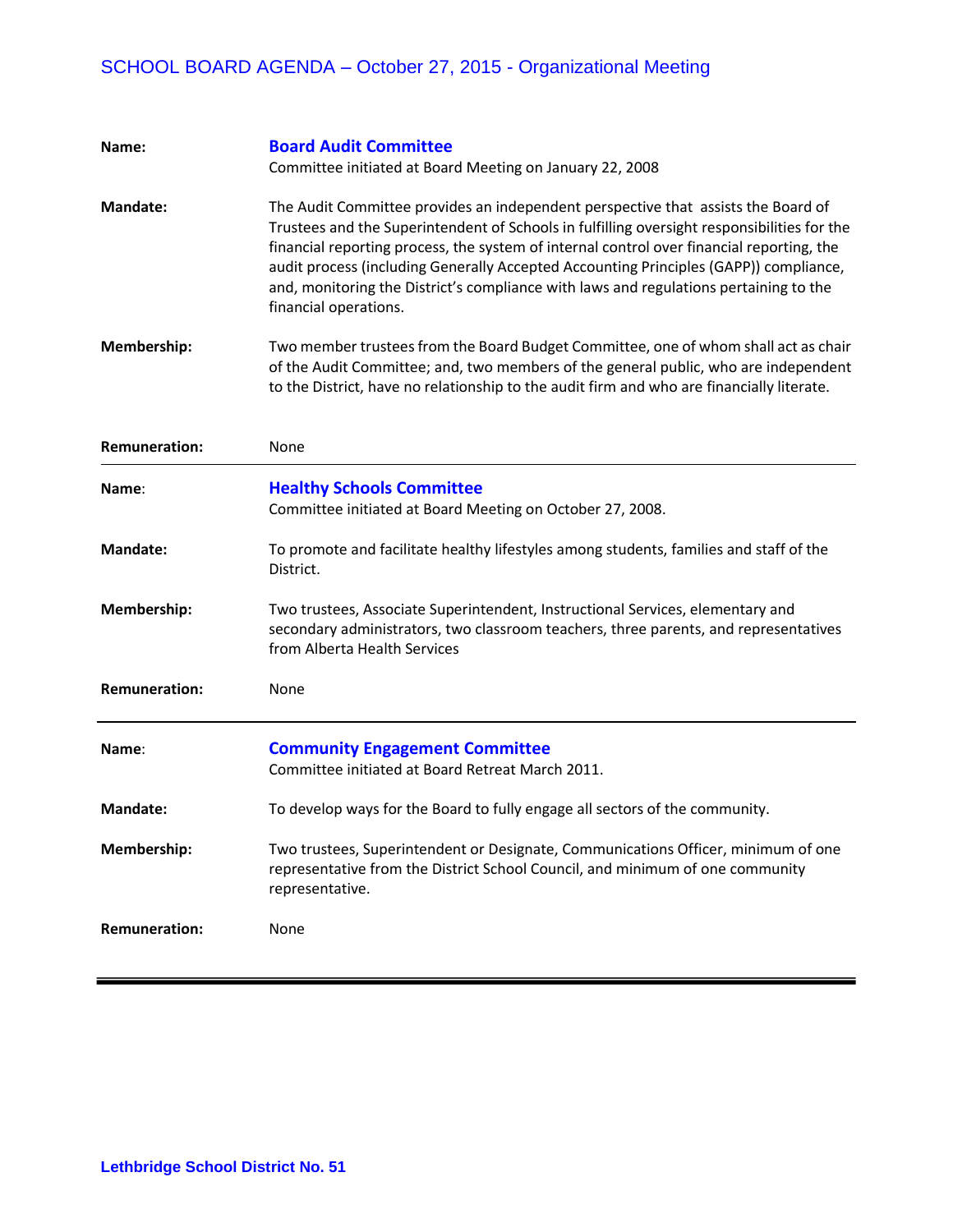# SCHOOL BOARD AGENDA – October 27, 2015 - Organizational Meeting

| Name:                | <b>Board Audit Committee</b><br>Committee initiated at Board Meeting on January 22, 2008                                                                                                                                                                                                                                                                                                                                                                                                 |
|----------------------|------------------------------------------------------------------------------------------------------------------------------------------------------------------------------------------------------------------------------------------------------------------------------------------------------------------------------------------------------------------------------------------------------------------------------------------------------------------------------------------|
| <b>Mandate:</b>      | The Audit Committee provides an independent perspective that assists the Board of<br>Trustees and the Superintendent of Schools in fulfilling oversight responsibilities for the<br>financial reporting process, the system of internal control over financial reporting, the<br>audit process (including Generally Accepted Accounting Principles (GAPP)) compliance,<br>and, monitoring the District's compliance with laws and regulations pertaining to the<br>financial operations. |
| Membership:          | Two member trustees from the Board Budget Committee, one of whom shall act as chair<br>of the Audit Committee; and, two members of the general public, who are independent<br>to the District, have no relationship to the audit firm and who are financially literate.                                                                                                                                                                                                                  |
| <b>Remuneration:</b> | None                                                                                                                                                                                                                                                                                                                                                                                                                                                                                     |
| Name:                | <b>Healthy Schools Committee</b><br>Committee initiated at Board Meeting on October 27, 2008.                                                                                                                                                                                                                                                                                                                                                                                            |
| <b>Mandate:</b>      | To promote and facilitate healthy lifestyles among students, families and staff of the<br>District.                                                                                                                                                                                                                                                                                                                                                                                      |
| Membership:          | Two trustees, Associate Superintendent, Instructional Services, elementary and<br>secondary administrators, two classroom teachers, three parents, and representatives<br>from Alberta Health Services                                                                                                                                                                                                                                                                                   |
| <b>Remuneration:</b> | None                                                                                                                                                                                                                                                                                                                                                                                                                                                                                     |
| Name:                | <b>Community Engagement Committee</b><br>Committee initiated at Board Retreat March 2011.                                                                                                                                                                                                                                                                                                                                                                                                |
| <b>Mandate:</b>      | To develop ways for the Board to fully engage all sectors of the community.                                                                                                                                                                                                                                                                                                                                                                                                              |
| Membership:          | Two trustees, Superintendent or Designate, Communications Officer, minimum of one<br>representative from the District School Council, and minimum of one community<br>representative.                                                                                                                                                                                                                                                                                                    |
| <b>Remuneration:</b> | None                                                                                                                                                                                                                                                                                                                                                                                                                                                                                     |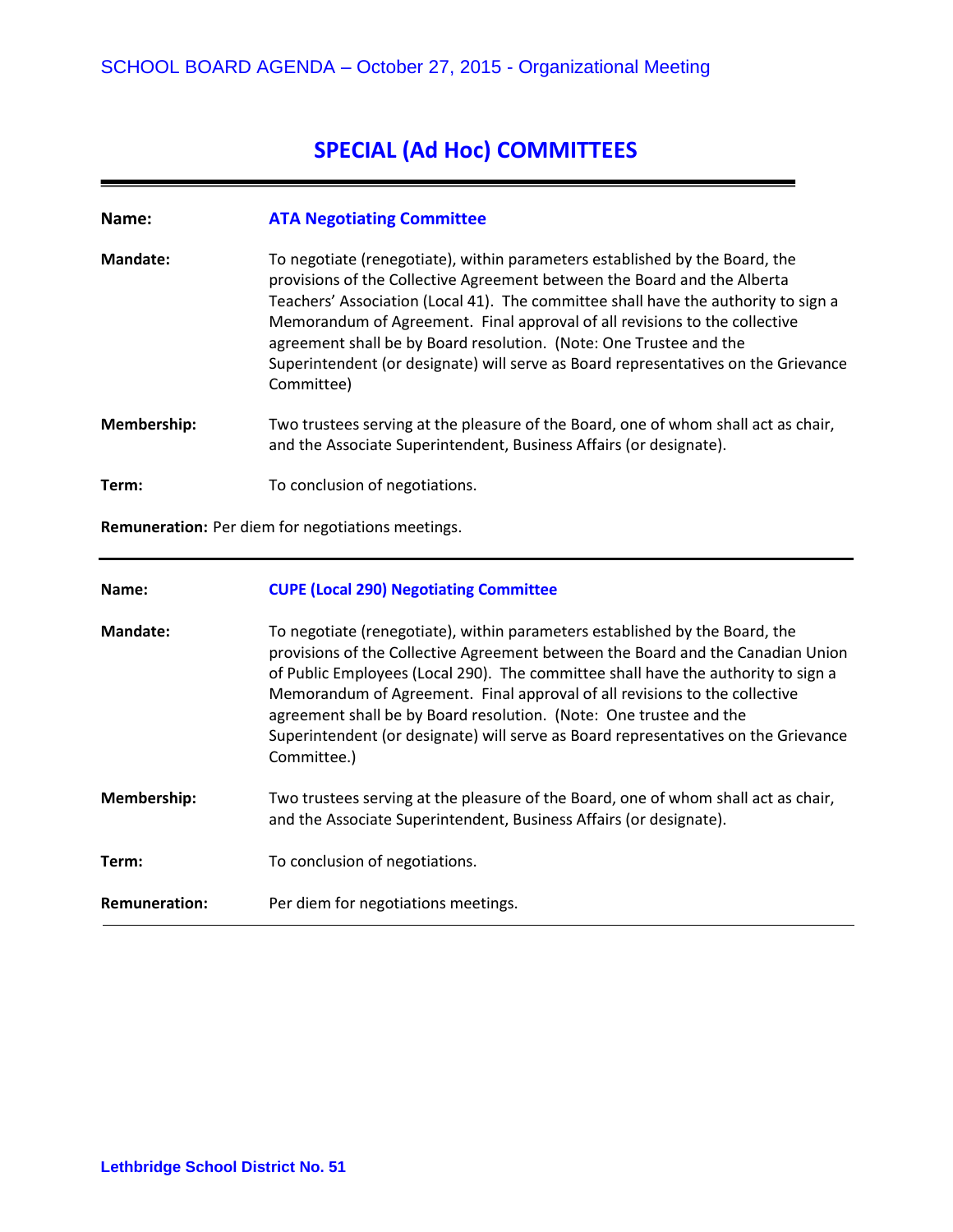# **SPECIAL (Ad Hoc) COMMITTEES**

#### **Name: ATA Negotiating Committee**

**Mandate:** To negotiate (renegotiate), within parameters established by the Board, the provisions of the Collective Agreement between the Board and the Alberta Teachers' Association (Local 41). The committee shall have the authority to sign a Memorandum of Agreement. Final approval of all revisions to the collective agreement shall be by Board resolution. (Note: One Trustee and the Superintendent (or designate) will serve as Board representatives on the Grievance Committee)

**Membership:** Two trustees serving at the pleasure of the Board, one of whom shall act as chair, and the Associate Superintendent, Business Affairs (or designate).

**Term:** To conclusion of negotiations.

**Remuneration:** Per diem for negotiations meetings.

#### **Name: CUPE (Local 290) Negotiating Committee**

**Mandate:** To negotiate (renegotiate), within parameters established by the Board, the provisions of the Collective Agreement between the Board and the Canadian Union of Public Employees (Local 290). The committee shall have the authority to sign a Memorandum of Agreement. Final approval of all revisions to the collective agreement shall be by Board resolution. (Note: One trustee and the Superintendent (or designate) will serve as Board representatives on the Grievance Committee.) **Membership:** Two trustees serving at the pleasure of the Board, one of whom shall act as chair, and the Associate Superintendent, Business Affairs (or designate).

**Term:** To conclusion of negotiations.

**Remuneration:** Per diem for negotiations meetings.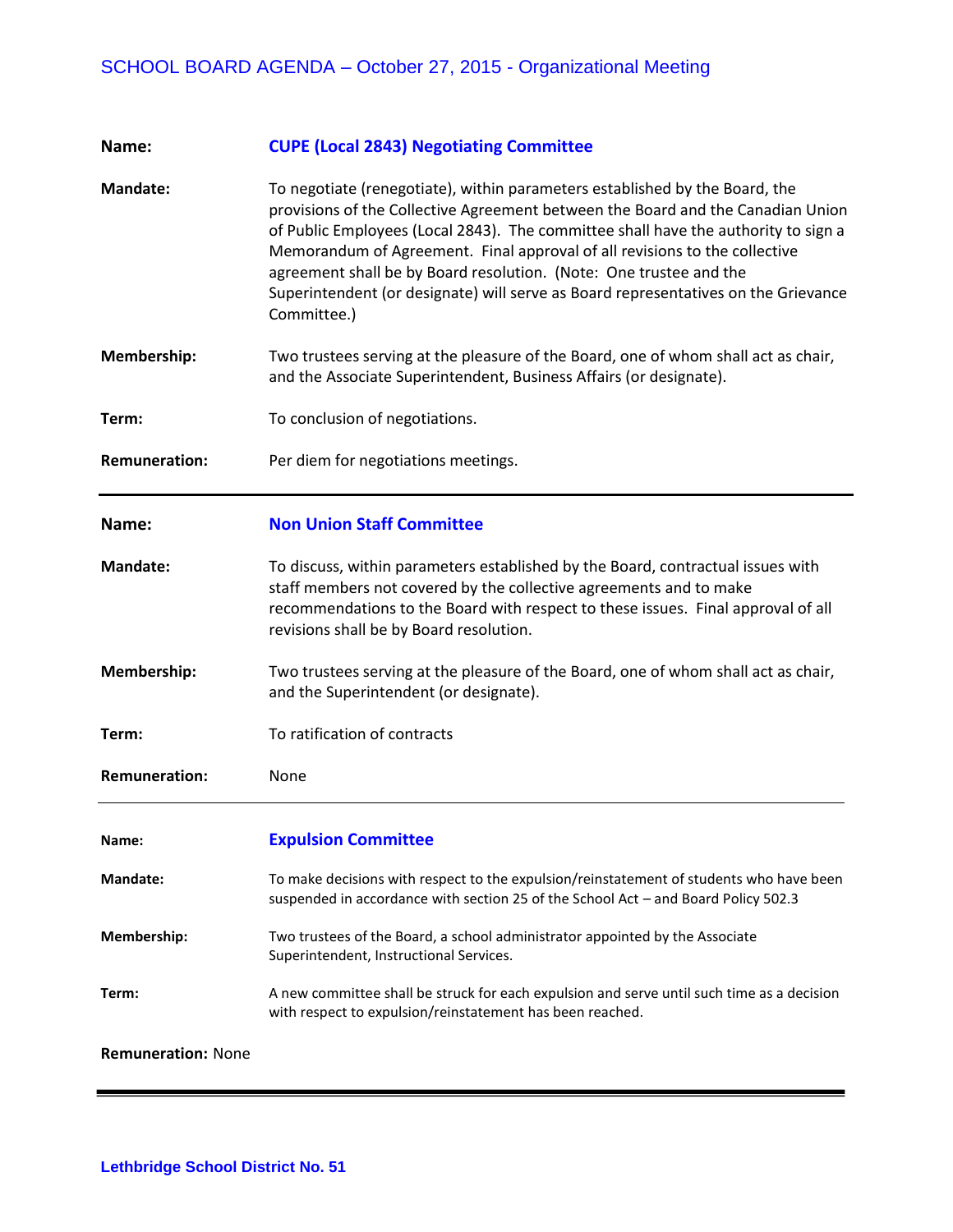| Name:                     | <b>CUPE (Local 2843) Negotiating Committee</b>                                                                                                                                                                                                                                                                                                                                                                                                                                                                |
|---------------------------|---------------------------------------------------------------------------------------------------------------------------------------------------------------------------------------------------------------------------------------------------------------------------------------------------------------------------------------------------------------------------------------------------------------------------------------------------------------------------------------------------------------|
| <b>Mandate:</b>           | To negotiate (renegotiate), within parameters established by the Board, the<br>provisions of the Collective Agreement between the Board and the Canadian Union<br>of Public Employees (Local 2843). The committee shall have the authority to sign a<br>Memorandum of Agreement. Final approval of all revisions to the collective<br>agreement shall be by Board resolution. (Note: One trustee and the<br>Superintendent (or designate) will serve as Board representatives on the Grievance<br>Committee.) |
| Membership:               | Two trustees serving at the pleasure of the Board, one of whom shall act as chair,<br>and the Associate Superintendent, Business Affairs (or designate).                                                                                                                                                                                                                                                                                                                                                      |
| Term:                     | To conclusion of negotiations.                                                                                                                                                                                                                                                                                                                                                                                                                                                                                |
| <b>Remuneration:</b>      | Per diem for negotiations meetings.                                                                                                                                                                                                                                                                                                                                                                                                                                                                           |
| Name:                     | <b>Non Union Staff Committee</b>                                                                                                                                                                                                                                                                                                                                                                                                                                                                              |
| <b>Mandate:</b>           | To discuss, within parameters established by the Board, contractual issues with<br>staff members not covered by the collective agreements and to make<br>recommendations to the Board with respect to these issues. Final approval of all<br>revisions shall be by Board resolution.                                                                                                                                                                                                                          |
| Membership:               | Two trustees serving at the pleasure of the Board, one of whom shall act as chair,<br>and the Superintendent (or designate).                                                                                                                                                                                                                                                                                                                                                                                  |
| Term:                     | To ratification of contracts                                                                                                                                                                                                                                                                                                                                                                                                                                                                                  |
| <b>Remuneration:</b>      | None                                                                                                                                                                                                                                                                                                                                                                                                                                                                                                          |
| Name:                     | <b>Expulsion Committee</b>                                                                                                                                                                                                                                                                                                                                                                                                                                                                                    |
| <b>Mandate:</b>           | To make decisions with respect to the expulsion/reinstatement of students who have been<br>suspended in accordance with section 25 of the School Act - and Board Policy 502.3                                                                                                                                                                                                                                                                                                                                 |
| Membership:               | Two trustees of the Board, a school administrator appointed by the Associate<br>Superintendent, Instructional Services.                                                                                                                                                                                                                                                                                                                                                                                       |
| Term:                     | A new committee shall be struck for each expulsion and serve until such time as a decision<br>with respect to expulsion/reinstatement has been reached.                                                                                                                                                                                                                                                                                                                                                       |
| <b>Remuneration: None</b> |                                                                                                                                                                                                                                                                                                                                                                                                                                                                                                               |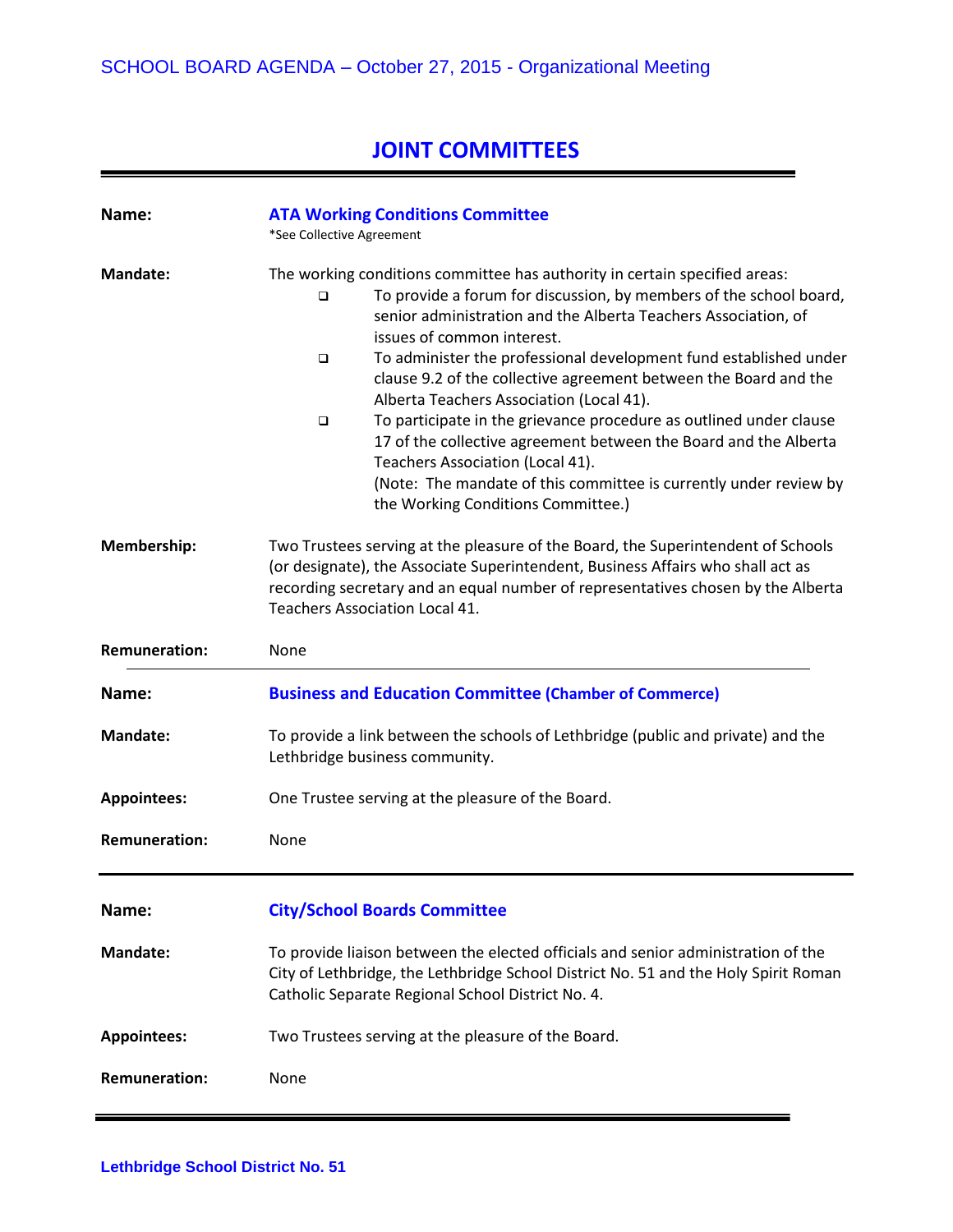# **JOINT COMMITTEES**

| Name:                | <b>ATA Working Conditions Committee</b><br>*See Collective Agreement                                                                                                                                                                                                                                                                                                                                                                                                                                                                                                                                                                                                                                                                          |
|----------------------|-----------------------------------------------------------------------------------------------------------------------------------------------------------------------------------------------------------------------------------------------------------------------------------------------------------------------------------------------------------------------------------------------------------------------------------------------------------------------------------------------------------------------------------------------------------------------------------------------------------------------------------------------------------------------------------------------------------------------------------------------|
| Mandate:             | The working conditions committee has authority in certain specified areas:<br>To provide a forum for discussion, by members of the school board,<br>□<br>senior administration and the Alberta Teachers Association, of<br>issues of common interest.<br>To administer the professional development fund established under<br>□<br>clause 9.2 of the collective agreement between the Board and the<br>Alberta Teachers Association (Local 41).<br>To participate in the grievance procedure as outlined under clause<br>□<br>17 of the collective agreement between the Board and the Alberta<br>Teachers Association (Local 41).<br>(Note: The mandate of this committee is currently under review by<br>the Working Conditions Committee.) |
| Membership:          | Two Trustees serving at the pleasure of the Board, the Superintendent of Schools<br>(or designate), the Associate Superintendent, Business Affairs who shall act as<br>recording secretary and an equal number of representatives chosen by the Alberta<br>Teachers Association Local 41.                                                                                                                                                                                                                                                                                                                                                                                                                                                     |
| <b>Remuneration:</b> | None                                                                                                                                                                                                                                                                                                                                                                                                                                                                                                                                                                                                                                                                                                                                          |
| Name:                | <b>Business and Education Committee (Chamber of Commerce)</b>                                                                                                                                                                                                                                                                                                                                                                                                                                                                                                                                                                                                                                                                                 |
| <b>Mandate:</b>      | To provide a link between the schools of Lethbridge (public and private) and the<br>Lethbridge business community.                                                                                                                                                                                                                                                                                                                                                                                                                                                                                                                                                                                                                            |
| <b>Appointees:</b>   | One Trustee serving at the pleasure of the Board.                                                                                                                                                                                                                                                                                                                                                                                                                                                                                                                                                                                                                                                                                             |
| <b>Remuneration:</b> | None                                                                                                                                                                                                                                                                                                                                                                                                                                                                                                                                                                                                                                                                                                                                          |
| Name:                | <b>City/School Boards Committee</b>                                                                                                                                                                                                                                                                                                                                                                                                                                                                                                                                                                                                                                                                                                           |
| <b>Mandate:</b>      | To provide liaison between the elected officials and senior administration of the<br>City of Lethbridge, the Lethbridge School District No. 51 and the Holy Spirit Roman<br>Catholic Separate Regional School District No. 4.                                                                                                                                                                                                                                                                                                                                                                                                                                                                                                                 |
| <b>Appointees:</b>   | Two Trustees serving at the pleasure of the Board.                                                                                                                                                                                                                                                                                                                                                                                                                                                                                                                                                                                                                                                                                            |
| <b>Remuneration:</b> | None                                                                                                                                                                                                                                                                                                                                                                                                                                                                                                                                                                                                                                                                                                                                          |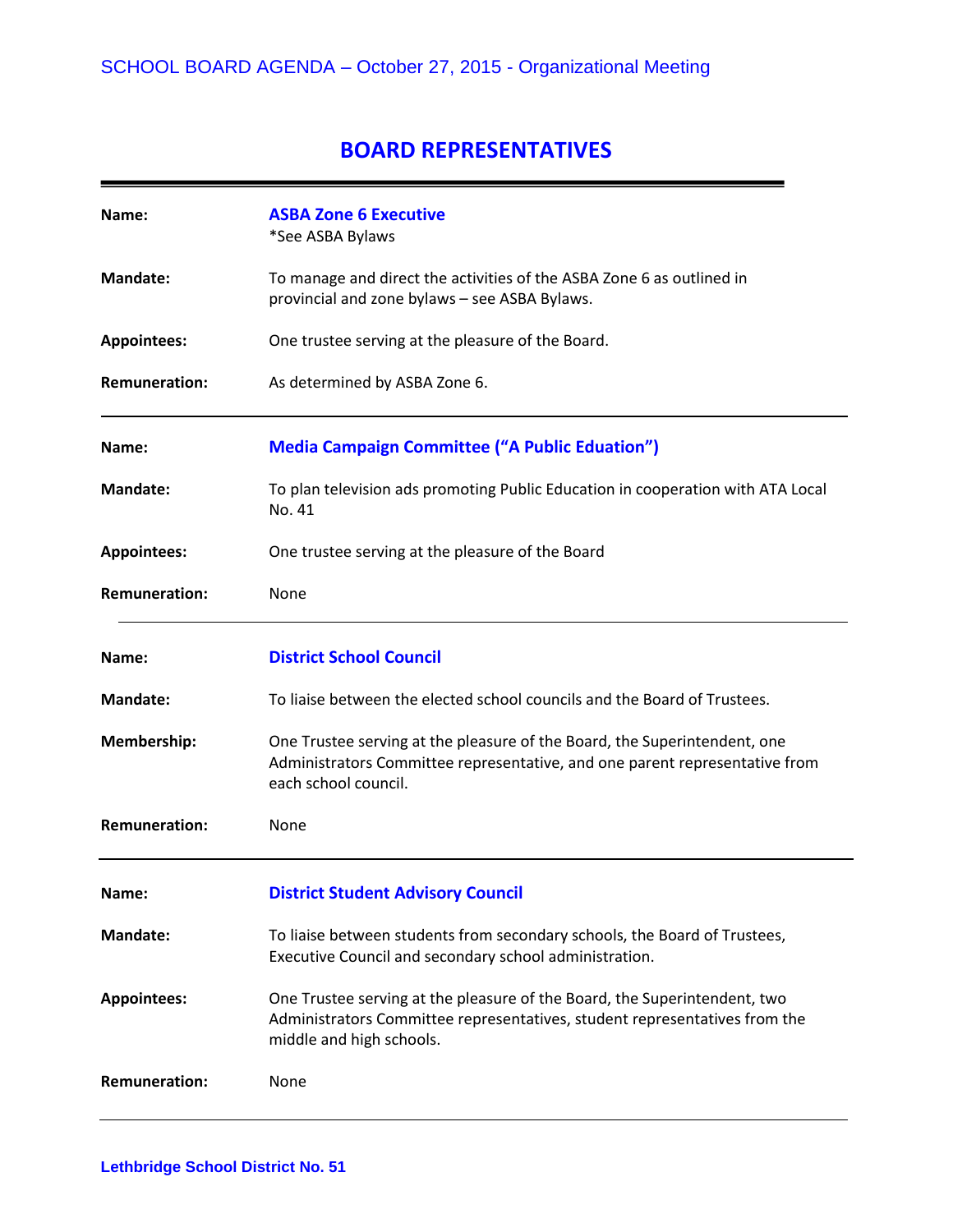### **BOARD REPRESENTATIVES**

| Name:                | <b>ASBA Zone 6 Executive</b><br>*See ASBA Bylaws                                                                                                                                    |
|----------------------|-------------------------------------------------------------------------------------------------------------------------------------------------------------------------------------|
| <b>Mandate:</b>      | To manage and direct the activities of the ASBA Zone 6 as outlined in<br>provincial and zone bylaws - see ASBA Bylaws.                                                              |
| <b>Appointees:</b>   | One trustee serving at the pleasure of the Board.                                                                                                                                   |
| <b>Remuneration:</b> | As determined by ASBA Zone 6.                                                                                                                                                       |
| Name:                | <b>Media Campaign Committee ("A Public Eduation")</b>                                                                                                                               |
| <b>Mandate:</b>      | To plan television ads promoting Public Education in cooperation with ATA Local<br>No. 41                                                                                           |
| <b>Appointees:</b>   | One trustee serving at the pleasure of the Board                                                                                                                                    |
| <b>Remuneration:</b> | None                                                                                                                                                                                |
| Name:                | <b>District School Council</b>                                                                                                                                                      |
| <b>Mandate:</b>      | To liaise between the elected school councils and the Board of Trustees.                                                                                                            |
| Membership:          | One Trustee serving at the pleasure of the Board, the Superintendent, one<br>Administrators Committee representative, and one parent representative from<br>each school council.    |
| <b>Remuneration:</b> | None                                                                                                                                                                                |
| Name:                | <b>District Student Advisory Council</b>                                                                                                                                            |
| <b>Mandate:</b>      | To liaise between students from secondary schools, the Board of Trustees,<br>Executive Council and secondary school administration.                                                 |
| <b>Appointees:</b>   | One Trustee serving at the pleasure of the Board, the Superintendent, two<br>Administrators Committee representatives, student representatives from the<br>middle and high schools. |
| <b>Remuneration:</b> | None                                                                                                                                                                                |